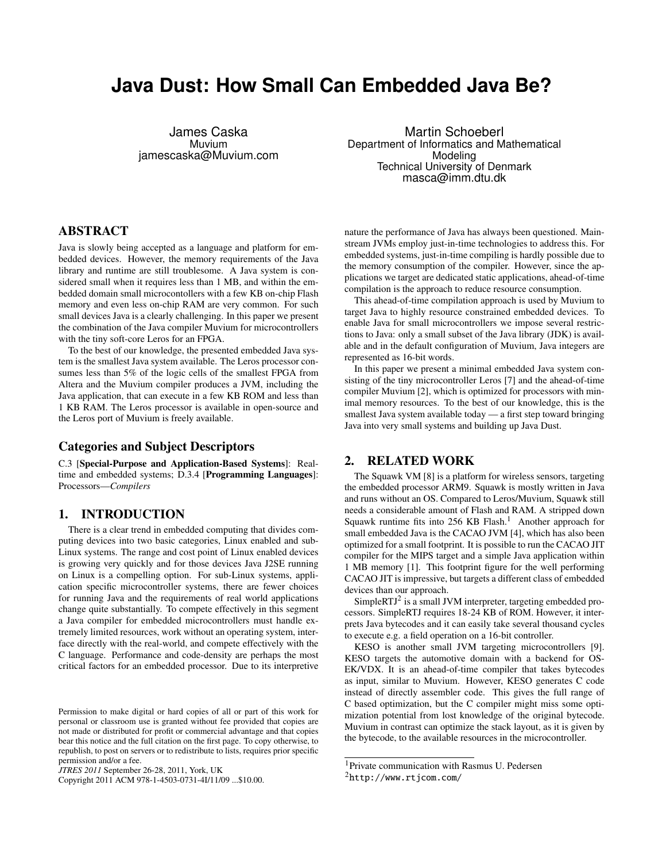# **Java Dust: How Small Can Embedded Java Be?**

James Caska Muvium jamescaska@Muvium.com

Martin Schoeberl Department of Informatics and Mathematical Modeling Technical University of Denmark masca@imm.dtu.dk

# ABSTRACT

Java is slowly being accepted as a language and platform for embedded devices. However, the memory requirements of the Java library and runtime are still troublesome. A Java system is considered small when it requires less than 1 MB, and within the embedded domain small microcontollers with a few KB on-chip Flash memory and even less on-chip RAM are very common. For such small devices Java is a clearly challenging. In this paper we present the combination of the Java compiler Muvium for microcontrollers with the tiny soft-core Leros for an FPGA.

To the best of our knowledge, the presented embedded Java system is the smallest Java system available. The Leros processor consumes less than 5% of the logic cells of the smallest FPGA from Altera and the Muvium compiler produces a JVM, including the Java application, that can execute in a few KB ROM and less than 1 KB RAM. The Leros processor is available in open-source and the Leros port of Muvium is freely available.

# Categories and Subject Descriptors

C.3 [Special-Purpose and Application-Based Systems]: Realtime and embedded systems; D.3.4 [Programming Languages]: Processors—*Compilers*

# 1. INTRODUCTION

There is a clear trend in embedded computing that divides computing devices into two basic categories, Linux enabled and sub-Linux systems. The range and cost point of Linux enabled devices is growing very quickly and for those devices Java J2SE running on Linux is a compelling option. For sub-Linux systems, application specific microcontroller systems, there are fewer choices for running Java and the requirements of real world applications change quite substantially. To compete effectively in this segment a Java compiler for embedded microcontrollers must handle extremely limited resources, work without an operating system, interface directly with the real-world, and compete effectively with the C language. Performance and code-density are perhaps the most critical factors for an embedded processor. Due to its interpretive

Copyright 2011 ACM 978-1-4503-0731-4I/11/09 ...\$10.00.

nature the performance of Java has always been questioned. Mainstream JVMs employ just-in-time technologies to address this. For embedded systems, just-in-time compiling is hardly possible due to the memory consumption of the compiler. However, since the applications we target are dedicated static applications, ahead-of-time compilation is the approach to reduce resource consumption.

This ahead-of-time compilation approach is used by Muvium to target Java to highly resource constrained embedded devices. To enable Java for small microcontrollers we impose several restrictions to Java: only a small subset of the Java library (JDK) is available and in the default configuration of Muvium, Java integers are represented as 16-bit words.

In this paper we present a minimal embedded Java system consisting of the tiny microcontroller Leros [\[7\]](#page-4-0) and the ahead-of-time compiler Muvium [\[2\]](#page-4-1), which is optimized for processors with minimal memory resources. To the best of our knowledge, this is the smallest Java system available today — a first step toward bringing Java into very small systems and building up Java Dust.

# 2. RELATED WORK

The Squawk VM [\[8\]](#page-4-2) is a platform for wireless sensors, targeting the embedded processor ARM9. Squawk is mostly written in Java and runs without an OS. Compared to Leros/Muvium, Squawk still needs a considerable amount of Flash and RAM. A stripped down Squawk runtime fits into 256 KB Flash.<sup>[1](#page-0-0)</sup> Another approach for small embedded Java is the CACAO JVM [\[4\]](#page-4-3), which has also been optimized for a small footprint. It is possible to run the CACAO JIT compiler for the MIPS target and a simple Java application within 1 MB memory [\[1\]](#page-4-4). This footprint figure for the well performing CACAO JIT is impressive, but targets a different class of embedded devices than our approach.

SimpleRTJ<sup>[2](#page-0-1)</sup> is a small JVM interpreter, targeting embedded processors. SimpleRTJ requires 18-24 KB of ROM. However, it interprets Java bytecodes and it can easily take several thousand cycles to execute e.g. a field operation on a 16-bit controller.

KESO is another small JVM targeting microcontrollers [\[9\]](#page-4-5). KESO targets the automotive domain with a backend for OS-EK/VDX. It is an ahead-of-time compiler that takes bytecodes as input, similar to Muvium. However, KESO generates C code instead of directly assembler code. This gives the full range of C based optimization, but the C compiler might miss some optimization potential from lost knowledge of the original bytecode. Muvium in contrast can optimize the stack layout, as it is given by the bytecode, to the available resources in the microcontroller.

Permission to make digital or hard copies of all or part of this work for personal or classroom use is granted without fee provided that copies are not made or distributed for profit or commercial advantage and that copies bear this notice and the full citation on the first page. To copy otherwise, to republish, to post on servers or to redistribute to lists, requires prior specific permission and/or a fee.

*JTRES 2011* September 26-28, 2011, York, UK

<span id="page-0-0"></span><sup>1</sup>Private communication with Rasmus U. Pedersen

<span id="page-0-1"></span> $^{2}$ <http://www.rtjcom.com/>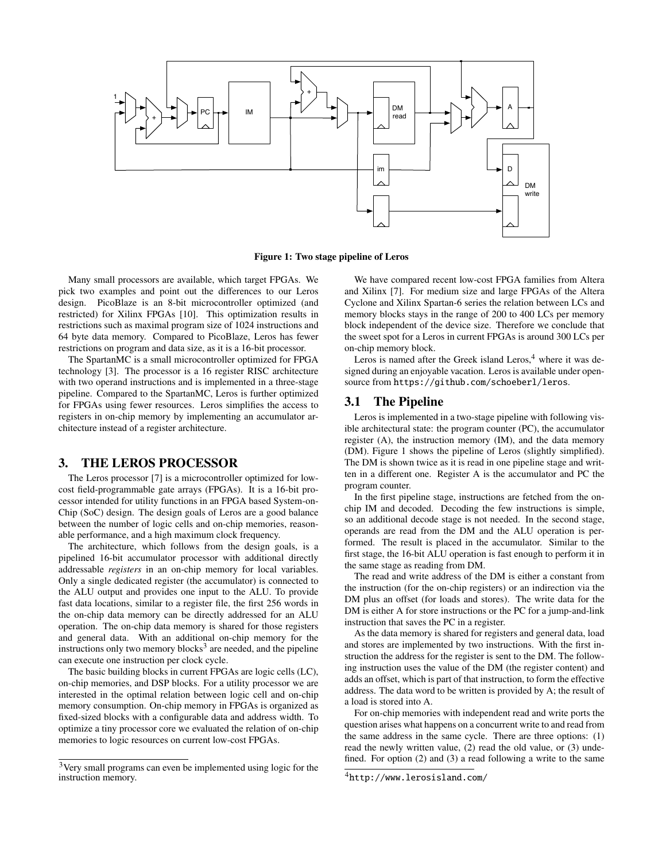

<span id="page-1-2"></span>Figure 1: Two stage pipeline of Leros

Many small processors are available, which target FPGAs. We pick two examples and point out the differences to our Leros design. PicoBlaze is an 8-bit microcontroller optimized (and restricted) for Xilinx FPGAs [\[10\]](#page-4-6). This optimization results in restrictions such as maximal program size of 1024 instructions and 64 byte data memory. Compared to PicoBlaze, Leros has fewer restrictions on program and data size, as it is a 16-bit processor.

The SpartanMC is a small microcontroller optimized for FPGA technology [\[3\]](#page-4-7). The processor is a 16 register RISC architecture with two operand instructions and is implemented in a three-stage pipeline. Compared to the SpartanMC, Leros is further optimized for FPGAs using fewer resources. Leros simplifies the access to registers in on-chip memory by implementing an accumulator architecture instead of a register architecture.

## 3. THE LEROS PROCESSOR

The Leros processor [\[7\]](#page-4-0) is a microcontroller optimized for lowcost field-programmable gate arrays (FPGAs). It is a 16-bit processor intended for utility functions in an FPGA based System-on-Chip (SoC) design. The design goals of Leros are a good balance between the number of logic cells and on-chip memories, reasonable performance, and a high maximum clock frequency.

The architecture, which follows from the design goals, is a pipelined 16-bit accumulator processor with additional directly addressable *registers* in an on-chip memory for local variables. Only a single dedicated register (the accumulator) is connected to the ALU output and provides one input to the ALU. To provide fast data locations, similar to a register file, the first 256 words in the on-chip data memory can be directly addressed for an ALU operation. The on-chip data memory is shared for those registers and general data. With an additional on-chip memory for the instructions only two memory blocks<sup>[3](#page-1-0)</sup> are needed, and the pipeline can execute one instruction per clock cycle.

The basic building blocks in current FPGAs are logic cells (LC), on-chip memories, and DSP blocks. For a utility processor we are interested in the optimal relation between logic cell and on-chip memory consumption. On-chip memory in FPGAs is organized as fixed-sized blocks with a configurable data and address width. To optimize a tiny processor core we evaluated the relation of on-chip memories to logic resources on current low-cost FPGAs.

We have compared recent low-cost FPGA families from Altera and Xilinx [\[7\]](#page-4-0). For medium size and large FPGAs of the Altera Cyclone and Xilinx Spartan-6 series the relation between LCs and memory blocks stays in the range of 200 to 400 LCs per memory block independent of the device size. Therefore we conclude that the sweet spot for a Leros in current FPGAs is around 300 LCs per on-chip memory block.

Leros is named after the Greek island Leros, $4$  where it was designed during an enjoyable vacation. Leros is available under opensource from <https://github.com/schoeberl/leros>.

# 3.1 The Pipeline

Leros is implemented in a two-stage pipeline with following visible architectural state: the program counter (PC), the accumulator register (A), the instruction memory (IM), and the data memory (DM). Figure [1](#page-1-2) shows the pipeline of Leros (slightly simplified). The DM is shown twice as it is read in one pipeline stage and written in a different one. Register A is the accumulator and PC the program counter.

In the first pipeline stage, instructions are fetched from the onchip IM and decoded. Decoding the few instructions is simple, so an additional decode stage is not needed. In the second stage, operands are read from the DM and the ALU operation is performed. The result is placed in the accumulator. Similar to the first stage, the 16-bit ALU operation is fast enough to perform it in the same stage as reading from DM.

The read and write address of the DM is either a constant from the instruction (for the on-chip registers) or an indirection via the DM plus an offset (for loads and stores). The write data for the DM is either A for store instructions or the PC for a jump-and-link instruction that saves the PC in a register.

As the data memory is shared for registers and general data, load and stores are implemented by two instructions. With the first instruction the address for the register is sent to the DM. The following instruction uses the value of the DM (the register content) and adds an offset, which is part of that instruction, to form the effective address. The data word to be written is provided by A; the result of a load is stored into A.

For on-chip memories with independent read and write ports the question arises what happens on a concurrent write to and read from the same address in the same cycle. There are three options: (1) read the newly written value, (2) read the old value, or (3) undefined. For option (2) and (3) a read following a write to the same

<span id="page-1-0"></span><sup>3</sup>Very small programs can even be implemented using logic for the instruction memory.

<span id="page-1-1"></span><sup>4</sup><http://www.lerosisland.com/>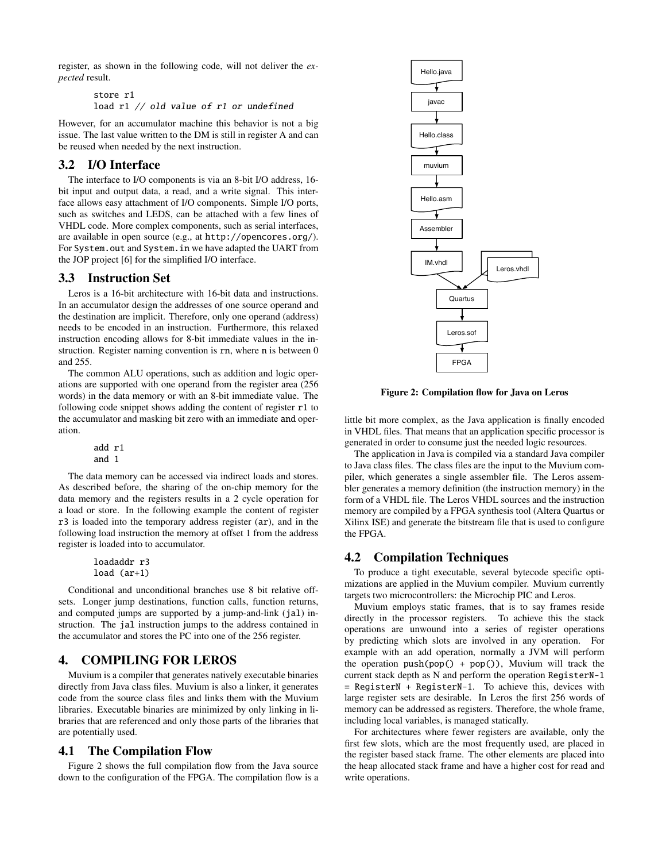register, as shown in the following code, will not deliver the *expected* result.

> store r1 load r1 // old value of r1 or undefined

However, for an accumulator machine this behavior is not a big issue. The last value written to the DM is still in register A and can be reused when needed by the next instruction.

# 3.2 I/O Interface

The interface to I/O components is via an 8-bit I/O address, 16 bit input and output data, a read, and a write signal. This interface allows easy attachment of I/O components. Simple I/O ports, such as switches and LEDS, can be attached with a few lines of VHDL code. More complex components, such as serial interfaces, are available in open source (e.g., at <http://opencores.org/>). For System.out and System.in we have adapted the UART from the JOP project [\[6\]](#page-4-8) for the simplified I/O interface.

# 3.3 Instruction Set

Leros is a 16-bit architecture with 16-bit data and instructions. In an accumulator design the addresses of one source operand and the destination are implicit. Therefore, only one operand (address) needs to be encoded in an instruction. Furthermore, this relaxed instruction encoding allows for 8-bit immediate values in the instruction. Register naming convention is rn, where n is between 0 and 255.

The common ALU operations, such as addition and logic operations are supported with one operand from the register area (256 words) in the data memory or with an 8-bit immediate value. The following code snippet shows adding the content of register r1 to the accumulator and masking bit zero with an immediate and operation.

> add r1 and 1

The data memory can be accessed via indirect loads and stores. As described before, the sharing of the on-chip memory for the data memory and the registers results in a 2 cycle operation for a load or store. In the following example the content of register r3 is loaded into the temporary address register (ar), and in the following load instruction the memory at offset 1 from the address register is loaded into to accumulator.

> loadaddr r3 load (ar+1)

Conditional and unconditional branches use 8 bit relative offsets. Longer jump destinations, function calls, function returns, and computed jumps are supported by a jump-and-link (jal) instruction. The jal instruction jumps to the address contained in the accumulator and stores the PC into one of the 256 register.

# 4. COMPILING FOR LEROS

Muvium is a compiler that generates natively executable binaries directly from Java class files. Muvium is also a linker, it generates code from the source class files and links them with the Muvium libraries. Executable binaries are minimized by only linking in libraries that are referenced and only those parts of the libraries that are potentially used.

## 4.1 The Compilation Flow

Figure [2](#page-2-0) shows the full compilation flow from the Java source down to the configuration of the FPGA. The compilation flow is a



<span id="page-2-0"></span>Figure 2: Compilation flow for Java on Leros

little bit more complex, as the Java application is finally encoded in VHDL files. That means that an application specific processor is generated in order to consume just the needed logic resources.

The application in Java is compiled via a standard Java compiler to Java class files. The class files are the input to the Muvium compiler, which generates a single assembler file. The Leros assembler generates a memory definition (the instruction memory) in the form of a VHDL file. The Leros VHDL sources and the instruction memory are compiled by a FPGA synthesis tool (Altera Quartus or Xilinx ISE) and generate the bitstream file that is used to configure the FPGA.

# 4.2 Compilation Techniques

To produce a tight executable, several bytecode specific optimizations are applied in the Muvium compiler. Muvium currently targets two microcontrollers: the Microchip PIC and Leros.

Muvium employs static frames, that is to say frames reside directly in the processor registers. To achieve this the stack operations are unwound into a series of register operations by predicting which slots are involved in any operation. For example with an add operation, normally a JVM will perform the operation  $push(pop() + pop())$ , Muvium will track the current stack depth as N and perform the operation RegisterN-1 = RegisterN + RegisterN-1. To achieve this, devices with large register sets are desirable. In Leros the first 256 words of memory can be addressed as registers. Therefore, the whole frame, including local variables, is managed statically.

For architectures where fewer registers are available, only the first few slots, which are the most frequently used, are placed in the register based stack frame. The other elements are placed into the heap allocated stack frame and have a higher cost for read and write operations.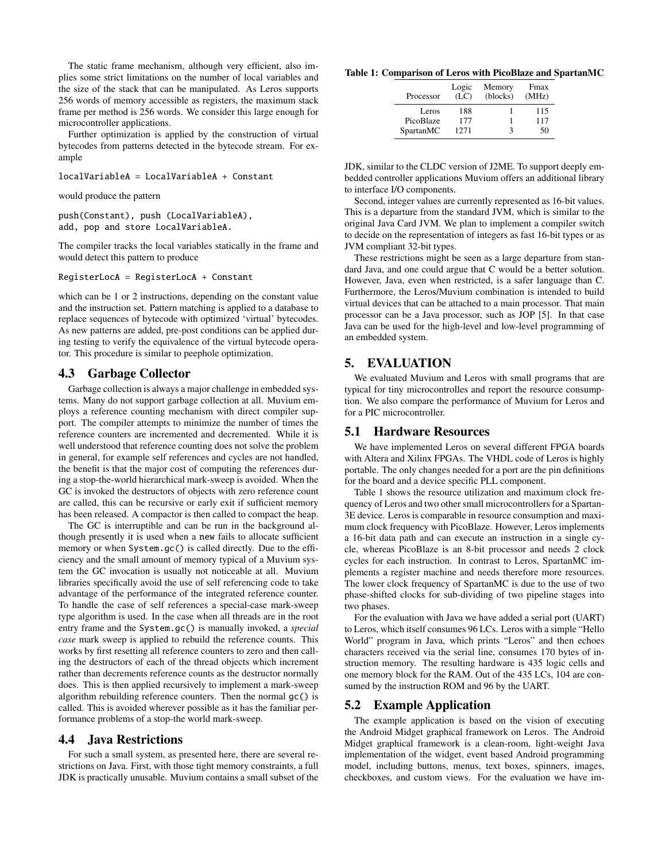The static frame mechanism, although very efficient, also implies some strict limitations on the number of local variables and the size of the stack that can be manipulated. As Leros supports 256 words of memory accessible as registers, the maximum stack frame per method is 256 words. We consider this large enough for microcontroller applications.

Further optimization is applied by the construction of virtual bytecodes from patterns detected in the bytecode stream. For example

localVariableA = LocalVariableA + Constant

would produce the pattern

push(Constant), push (LocalVariableA), add, pop and store LocalVariableA.

The compiler tracks the local variables statically in the frame and would detect this pattern to produce

RegisterLocA = RegisterLocA + Constant

which can be 1 or 2 instructions, depending on the constant value and the instruction set. Pattern matching is applied to a database to replace sequences of bytecode with optimized 'virtual' bytecodes. As new patterns are added, pre-post conditions can be applied during testing to verify the equivalence of the virtual bytecode operator. This procedure is similar to peephole optimization.

# 4.3 Garbage Collector

Garbage collection is always a major challenge in embedded systems. Many do not support garbage collection at all. Muvium employs a reference counting mechanism with direct compiler support. The compiler attempts to minimize the number of times the reference counters are incremented and decremented. While it is well understood that reference counting does not solve the problem in general, for example self references and cycles are not handled, the benefit is that the major cost of computing the references during a stop-the-world hierarchical mark-sweep is avoided. When the GC is invoked the destructors of objects with zero reference count are called, this can be recursive or early exit if sufficient memory has been released. A compactor is then called to compact the heap.

The GC is interruptible and can be run in the background although presently it is used when a new fails to allocate sufficient memory or when System.gc() is called directly. Due to the efficiency and the small amount of memory typical of a Muvium system the GC invocation is usually not noticeable at all. Muvium libraries specifically avoid the use of self referencing code to take advantage of the performance of the integrated reference counter. To handle the case of self references a special-case mark-sweep type algorithm is used. In the case when all threads are in the root entry frame and the System.gc() is manually invoked, a *special case* mark sweep is applied to rebuild the reference counts. This works by first resetting all reference counters to zero and then calling the destructors of each of the thread objects which increment rather than decrements reference counts as the destructor normally does. This is then applied recursively to implement a mark-sweep algorithm rebuilding reference counters. Then the normal gc() is called. This is avoided wherever possible as it has the familiar performance problems of a stop-the world mark-sweep.

## 4.4 Java Restrictions

For such a small system, as presented here, there are several restrictions on Java. First, with those tight memory constraints, a full JDK is practically unusable. Muvium contains a small subset of the

#### Table 1: Comparison of Leros with PicoBlaze and SpartanMC

<span id="page-3-0"></span>

| Processor | Logic<br>(LC) | Memory<br>(blocks) | Fmax<br>(MHz) |
|-----------|---------------|--------------------|---------------|
| Leros     | 188           |                    | 115           |
| PicoBlaze | 177           |                    | 117           |
| SpartanMC | 1271          | ٩                  | 50            |

JDK, similar to the CLDC version of J2ME. To support deeply embedded controller applications Muvium offers an additional library to interface I/O components.

Second, integer values are currently represented as 16-bit values. This is a departure from the standard JVM, which is similar to the original Java Card JVM. We plan to implement a compiler switch to decide on the representation of integers as fast 16-bit types or as JVM compliant 32-bit types.

These restrictions might be seen as a large departure from standard Java, and one could argue that C would be a better solution. However, Java, even when restricted, is a safer language than C. Furthermore, the Leros/Muvium combination is intended to build virtual devices that can be attached to a main processor. That main processor can be a Java processor, such as JOP [\[5\]](#page-4-9). In that case Java can be used for the high-level and low-level programming of an embedded system.

# 5. EVALUATION

We evaluated Muvium and Leros with small programs that are typical for tiny microcontrolles and report the resource consumption. We also compare the performance of Muvium for Leros and for a PIC microcontroller.

#### 5.1 Hardware Resources

We have implemented Leros on several different FPGA boards with Altera and Xilinx FPGAs. The VHDL code of Leros is highly portable. The only changes needed for a port are the pin definitions for the board and a device specific PLL component.

Table [1](#page-3-0) shows the resource utilization and maximum clock frequency of Leros and two other small microcontrollers for a Spartan-3E device. Leros is comparable in resource consumption and maximum clock frequency with PicoBlaze. However, Leros implements a 16-bit data path and can execute an instruction in a single cycle, whereas PicoBlaze is an 8-bit processor and needs 2 clock cycles for each instruction. In contrast to Leros, SpartanMC implements a register machine and needs therefore more resources. The lower clock frequency of SpartanMC is due to the use of two phase-shifted clocks for sub-dividing of two pipeline stages into two phases.

For the evaluation with Java we have added a serial port (UART) to Leros, which itself consumes 96 LCs. Leros with a simple "Hello World" program in Java, which prints "Leros" and then echoes characters received via the serial line, consumes 170 bytes of instruction memory. The resulting hardware is 435 logic cells and one memory block for the RAM. Out of the 435 LCs, 104 are consumed by the instruction ROM and 96 by the UART.

## 5.2 Example Application

The example application is based on the vision of executing the Android Midget graphical framework on Leros. The Android Midget graphical framework is a clean-room, light-weight Java implementation of the widget, event based Android programming model, including buttons, menus, text boxes, spinners, images, checkboxes, and custom views. For the evaluation we have im-